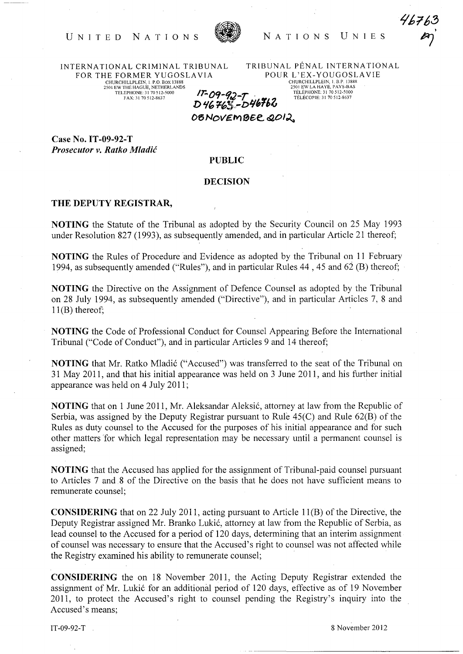## UNITED NATIONS NATIONS UNIES



INTERNATIONAL CRIMINAL TRIBUNAL FOR THE FORMER YUGOSLA VIA CHURCHILLPLEIN, I. P.O. BOX 13888 2501 EW THE HAGUE, NETHERLANDS TELEPHONE: 31 70512-5000

FAX:3170512-8637

TRIB UNAL PENAL INTERNATIONAL POUR L'EX-YOUGOSLAVIE CHURCHILLPLEIN, I. B.P. 13888 2501 EW LA HAYE, PAYS-BAS TELEPHONE: 31 70512-5000 TELECOPIE: 3170512-8637

 $17 - 09 - 92 - 7$ D~' *'1-63,,-DII"1>6*  OBNOVEMBER 2012.

Case No. IT -09-92-T *Prosecutor v. Ratko Mladic* 

## PUBLIC

## DECISION

## THE DEPUTY REGISTRAR,

NOTING the Statute of the Tribunal as adopted by the Security Council on 25 May 1993 under Resolution 827 (1993), as subsequently amended, and in particular Article 21 thereof;

NOTING the Rules of Procedure and Evidence as adopted by the Tribunal on 11 February 1994, as subsequently amended ("Rules"), and in particular Rules 44,45 and 62 (B) thereof;

NOTING the Directive on the Assignment of Defence Counsel as adopted by the Tribunal on 28 July 1994, as subsequently amended ("Directive"), and in particular Articles 7, 8 and  $11(B)$  thereof;

NOTING the Code of Professional Conduct for Counsel Appearing Before the International Tribunal ("Code of Conduct"), and in particular Articles 9 and 14 thereof;

NOTING that Mr. Ratko Mladić ("Accused") was transferred to the seat of the Tribunal on 31 May 2011, and that his initial appearance was held on 3 June 2011, and his further initial appearance was held on 4 July 2011;

NOTING that on 1 June 2011, Mr. Aleksandar Aleksić, attorney at law from the Republic of Serbia, was assigned by the Deputy Registrar pursuant to Rule 45(C) and Rule 62(B) of the Rules as duty counsel to the Accused for the purposes of his initial appearance and for such other matters for which legal representation may be necessary until a permanent counsel is assigned;

NOTING that the Accused has applied for the assignment of Tribunal-paid counsel pursuant to Articles 7 and 8 of the Directive on the basis that he does not have sufficient means to remunerate counsel;

CONSIDERING that on 22 July 2011, acting pursuant to Article 11(B) of the Directive, the Deputy Registrar assigned Mr. Branko Lukić, attorney at law from the Republic of Serbia, as lead counsel to the Accused for a period of 120 days, determining that an interim assignment of counsel was necessary to ensure that the Accused's right to counsel was not affected while the Registry examined his ability to remunerate counsel;

CONSIDERING the on 18 November 2011, the Acting Deputy Registrar extended the assignment of Mr. Lukić for an additional period of 120 days, effective as of 19 November 2011, to protect the Accused's right to counsel pending the Registry's inquiry into the Accused's means;

 $IT-09-92-T$  8 November 2012